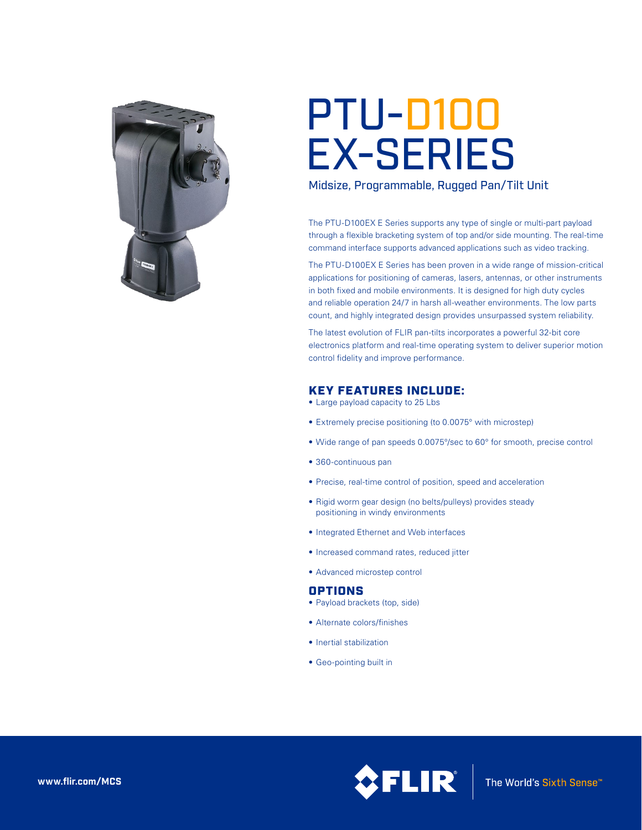

# PTU-D100 EX-SERIES

Midsize, Programmable, Rugged Pan/Tilt Unit

The PTU-D100EX E Series supports any type of single or multi-part payload through a flexible bracketing system of top and/or side mounting. The real-time command interface supports advanced applications such as video tracking.

The PTU-D100EX E Series has been proven in a wide range of mission-critical applications for positioning of cameras, lasers, antennas, or other instruments in both fixed and mobile environments. It is designed for high duty cycles and reliable operation 24/7 in harsh all-weather environments. The low parts count, and highly integrated design provides unsurpassed system reliability.

The latest evolution of FLIR pan-tilts incorporates a powerful 32-bit core electronics platform and real-time operating system to deliver superior motion control fidelity and improve performance.

## KEY FEATURES INCLUDE:

- Large payload capacity to 25 Lbs
- Extremely precise positioning (to 0.0075° with microstep)
- Wide range of pan speeds 0.0075°/sec to 60° for smooth, precise control
- • 360-continuous pan
- Precise, real-time control of position, speed and acceleration
- Rigid worm gear design (no belts/pulleys) provides steady positioning in windy environments
- Integrated Ethernet and Web interfaces
- • Increased command rates, reduced jitter
- • Advanced microstep control

## **OPTIONS**

- Payload brackets (top, side)
- • Alternate colors/finishes
- Inertial stabilization
- • Geo-pointing built in